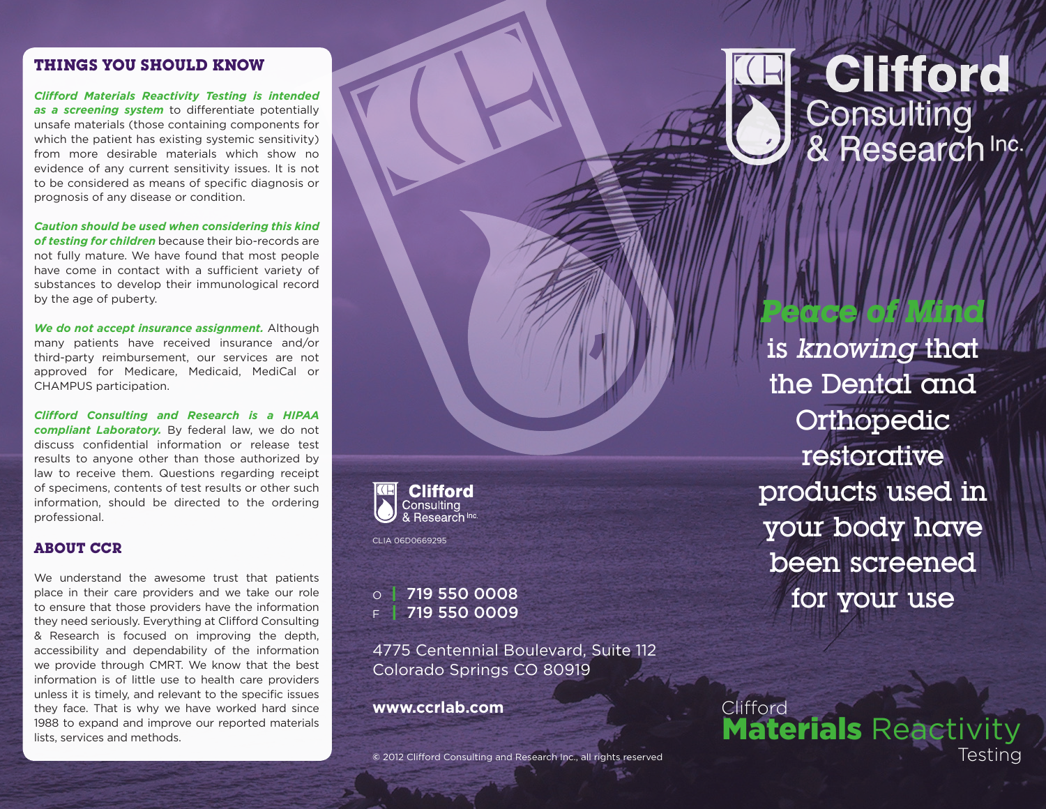#### **THINGS YOU SHOULD KNOW**

*Clifford Materials Reactivity Testing is intended as a screening system* to differentiate potentially unsafe materials (those containing components for which the patient has existing systemic sensitivity) from more desirable materials which show no evidence of any current sensitivity issues. It is not to be considered as means of specific diagnosis or prognosis of any disease or condition.

*Caution should be used when considering this kind of testing for children* because their bio-records are not fully mature. We have found that most people have come in contact with a sufficient variety of substances to develop their immunological record by the age of puberty.

*We do not accept insurance assignment.* Although many patients have received insurance and/or third-party reimbursement, our services are not approved for Medicare, Medicaid, MediCal or CHAMPUS participation.

*Clifford Consulting and Research is a HIPAA compliant Laboratory.* By federal law, we do not discuss confidential information or release test results to anyone other than those authorized by law to receive them. Questions regarding receipt of specimens, contents of test results or other such information, should be directed to the ordering professional.

## **ABOUT CCR**

We understand the awesome trust that patients place in their care providers and we take our role to ensure that those providers have the information they need seriously. Everything at Clifford Consulting & Research is focused on improving the depth, accessibility and dependability of the information we provide through CMRT. We know that the best information is of little use to health care providers unless it is timely, and relevant to the specific issues they face. That is why we have worked hard since 1988 to expand and improve our reported materials lists, services and methods.



CLIA 06D0669295

719 550 0009

4775 Centennial Boulevard, Suite 112 Colorado Springs CO 80919

**www.ccrlab.com** Clifford



is *knowing* that the Dental and Orthopedic restorative products used in your body have been screened  $\circ$  | 719 550 0008<br> $\circ$  | 719 550 0009

*Peace of Mind* 

**Materials Reactivity Consulting and Research Inc., all rights reserved Consulting and Research Inc., all rights reserved Testing**